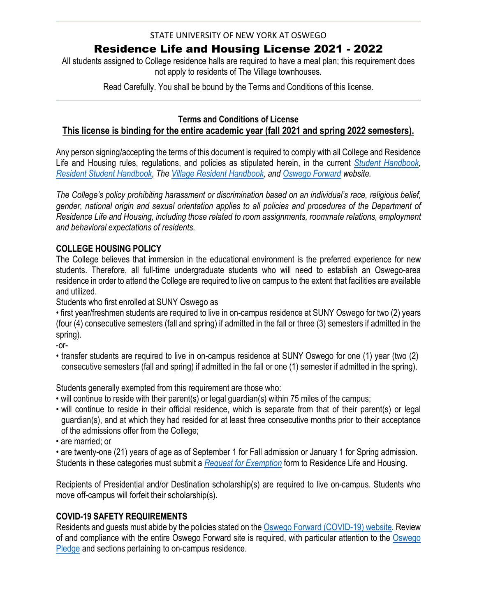#### STATE UNIVERSITY OF NEW YORK AT OSWEGO

# Residence Life and Housing License 2021 - 2022

All students assigned to College residence halls are required to have a meal plan; this requirement does not apply to residents of The Village townhouses.

Read Carefully. You shall be bound by the Terms and Conditions of this license.

## **Terms and Conditions of License This license is binding for the entire academic year (fall 2021 and spring 2022 semesters).**

Any person signing/accepting the terms of this document is required to comply with all College and Residence Life and Housing rules, regulations, and policies as stipulated herein, in the current *[Student Handbook,](https://www.oswego.edu/student-handbook/home) Resident Student [Handbook](https://www.oswego.edu/residence-life-and-housing/resident-student-handbook)*, *The Village Resident [Handbook, a](https://www.oswego.edu/residence-life-and-housing/file/village-resident-handbook)nd [Oswego](https://ww1.oswego.edu/oswego-forward/) Forward website.*

*The College's policy prohibiting harassment or discrimination based on an individual's race, religious belief, gender, national origin and sexual orientation applies to all policies and procedures of the Department of Residence Life and Housing, including those related to room assignments, roommate relations, employment and behavioral expectations of residents.*

## **COLLEGE HOUSING POLICY**

The College believes that immersion in the educational environment is the preferred experience for new students. Therefore, all full-time undergraduate students who will need to establish an Oswego-area residence in order to attend the College are required to live on campus to the extent that facilities are available and utilized.

Students who first enrolled at SUNY Oswego as

• first year/freshmen students are required to live in on-campus residence at SUNY Oswego for two (2) years (four (4) consecutive semesters (fall and spring) if admitted in the fall or three (3) semesters if admitted in the spring).

-or-

• transfer students are required to live in on-campus residence at SUNY Oswego for one (1) year (two (2) consecutive semesters (fall and spring) if admitted in the fall or one (1) semester if admitted in the spring).

Students generally exempted from this requirement are those who:

- will continue to reside with their parent(s) or legal guardian(s) within 75 miles of the campus;
- will continue to reside in their official residence, which is separate from that of their parent(s) or legal guardian(s), and at which they had resided for at least three consecutive months prior to their acceptance of the admissions offer from the College;

• are married; or

• are twenty-one (21) years of age as of September 1 for Fall admission or January 1 for Spring admission. Students in these categories must submit a *Request for [Exemption](https://www.oswego.edu/residence-life-and-housing/forms)* form to Residence Life and Housing.

Recipients of Presidential and/or Destination scholarship(s) are required to live on-campus. Students who move off-campus will forfeit their scholarship(s).

## **COVID-19 SAFETY REQUIREMENTS**

Residents and guests must abide by the policies stated on the Oswego Forward [\(COVID-19\)](https://ww1.oswego.edu/oswego-forward/) website. Review of and compliance with the entire Oswego Forward site is required, with particular attention to the [Oswego](https://ww1.oswego.edu/oswego-forward/oswego-forward-pledge) [Pledge](https://ww1.oswego.edu/oswego-forward/oswego-forward-pledge) and sections pertaining to on-campus residence.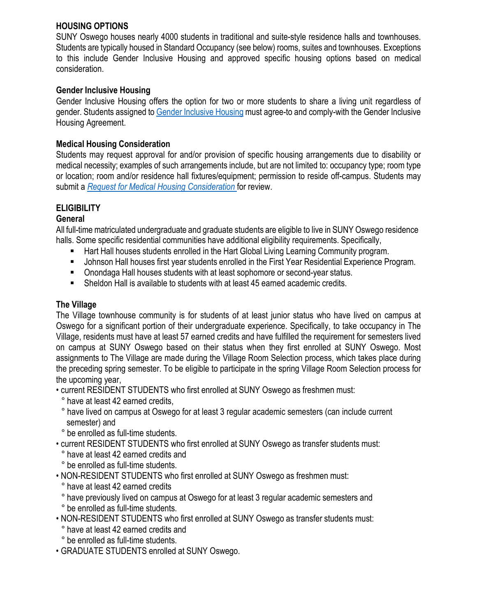#### **HOUSING OPTIONS**

SUNY Oswego houses nearly 4000 students in traditional and suite-style residence halls and townhouses. Students are typically housed in Standard Occupancy (see below) rooms, suites and townhouses. Exceptions to this include Gender Inclusive Housing and approved specific housing options based on medical consideration.

#### **Gender Inclusive Housing**

Gender Inclusive Housing offers the option for two or more students to share a living unit regardless of gender. Students assigned to [Gender Inclusive Housing](https://www.oswego.edu/residence-life-and-housing/gender-inclusive-housing) must agree-to and comply-with the Gender Inclusive Housing Agreement.

#### **Medical Housing Consideration**

Students may request approval for and/or provision of specific housing arrangements due to disability or medical necessity; examples of such arrangements include, but are not limited to: occupancy type; room type or location; room and/or residence hall fixtures/equipment; permission to reside off-campus. Students may submit a *Request for Medical Housing [Consideration](https://www.oswego.edu/residence-life-and-housing/medical-housing-consideration-policy-and-process)* for review.

### **ELIGIBILITY**

#### **General**

All full-time matriculated undergraduate and graduate students are eligible to live in SUNY Oswego residence halls. Some specific residential communities have additional eligibility requirements. Specifically,

- **Hart Hall houses students enrolled in the Hart Global Living Learning Community program.**
- Johnson Hall houses first year students enrolled in the First Year Residential Experience Program.
- Onondaga Hall houses students with at least sophomore or second-year status.
- Sheldon Hall is available to students with at least 45 earned academic credits.

## **The Village**

The Village townhouse community is for students of at least junior status who have lived on campus at Oswego for a significant portion of their undergraduate experience. Specifically, to take occupancy in The Village, residents must have at least 57 earned credits and have fulfilled the requirement for semesters lived on campus at SUNY Oswego based on their status when they first enrolled at SUNY Oswego. Most assignments to The Village are made during the Village Room Selection process, which takes place during the preceding spring semester. To be eligible to participate in the spring Village Room Selection process for the upcoming year,

• current RESIDENT STUDENTS who first enrolled at SUNY Oswego as freshmen must:

° have at least 42 earned credits,

- ° have lived on campus at Oswego for at least 3 regular academic semesters (can include current semester) and
- ° be enrolled as full-time students.
- current RESIDENT STUDENTS who first enrolled at SUNY Oswego as transfer students must:
	- ° have at least 42 earned credits and
	- ° be enrolled as full-time students.
- NON-RESIDENT STUDENTS who first enrolled at SUNY Oswego as freshmen must:
	- ° have at least 42 earned credits
	- ° have previously lived on campus at Oswego for at least 3 regular academic semesters and
	- ° be enrolled as full-time students.
- NON-RESIDENT STUDENTS who first enrolled at SUNY Oswego as transfer students must:
- ° have at least 42 earned credits and
- ° be enrolled as full-time students.
- GRADUATE STUDENTS enrolled at SUNY Oswego.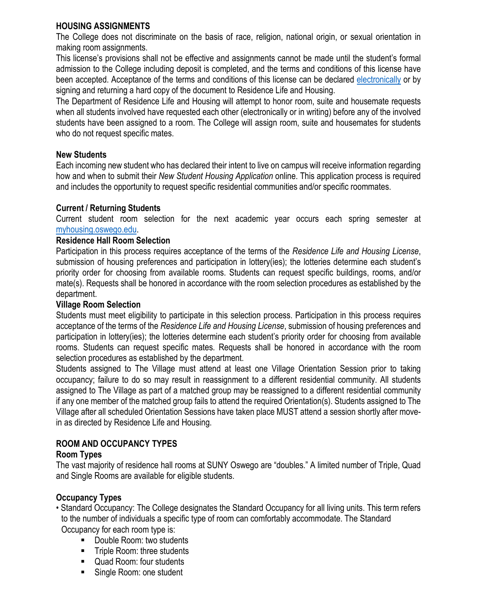#### **HOUSING ASSIGNMENTS**

The College does not discriminate on the basis of race, religion, national origin, or sexual orientation in making room assignments.

This license's provisions shall not be effective and assignments cannot be made until the student's formal admission to the College including deposit is completed, and the terms and conditions of this license have been accepted. Acceptance of the terms and conditions of this license can be declared electronically or by signing and returning a hard copy of the document to Residence Life and Housing.

The Department of Residence Life and Housing will attempt to honor room, suite and housemate requests when all students involved have requested each other (electronically or in writing) before any of the involved students have been assigned to a room. The College will assign room, suite and housemates for students who do not request specific mates.

#### **New Students**

Each incoming new student who has declared their intent to live on campus will receive information regarding how and when to submit their *New Student Housing Application* online. This application process is required and includes the opportunity to request specific residential communities and/or specific roommates.

### **Current / Returning Students**

Current student room selection for the next academic year occurs each spring semester at myhousing.oswego.edu.

#### **Residence Hall Room Selection**

Participation in this process requires acceptance of the terms of the *Residence Life and Housing License*, submission of housing preferences and participation in lottery(ies); the lotteries determine each student's priority order for choosing from available rooms. Students can request specific buildings, rooms, and/or mate(s). Requests shall be honored in accordance with the room selection procedures as established by the department.

#### **Village Room Selection**

Students must meet eligibility to participate in this selection process. Participation in this process requires acceptance of the terms of the *Residence Life and Housing License*, submission of housing preferences and participation in lottery(ies); the lotteries determine each student's priority order for choosing from available rooms. Students can request specific mates. Requests shall be honored in accordance with the room selection procedures as established by the department.

Students assigned to The Village must attend at least one Village Orientation Session prior to taking occupancy; failure to do so may result in reassignment to a different residential community. All students assigned to The Village as part of a matched group may be reassigned to a different residential community if any one member of the matched group fails to attend the required Orientation(s). Students assigned to The Village after all scheduled Orientation Sessions have taken place MUST attend a session shortly after movein as directed by Residence Life and Housing.

### **ROOM AND OCCUPANCY TYPES**

### **Room Types**

The vast majority of residence hall rooms at SUNY Oswego are "doubles." A limited number of Triple, Quad and Single Rooms are available for eligible students.

### **Occupancy Types**

• Standard Occupancy: The College designates the Standard Occupancy for all living units. This term refers to the number of individuals a specific type of room can comfortably accommodate. The Standard Occupancy for each room type is:

- Double Room: two students
- Triple Room: three students
- Quad Room: four students
- Single Room: one student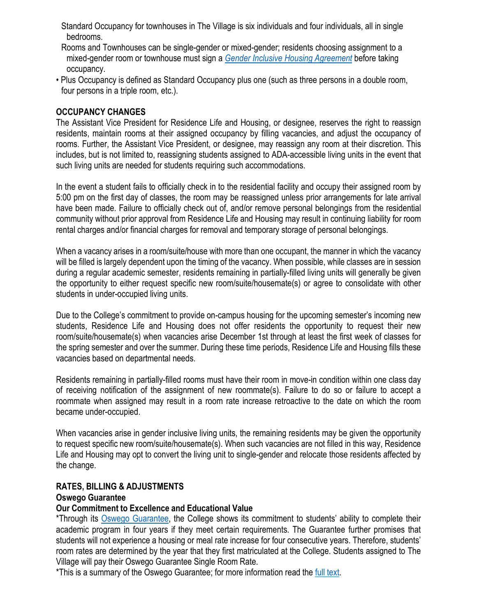Standard Occupancy for townhouses in The Village is six individuals and four individuals, all in single bedrooms.

- Rooms and Townhouses can be single-gender or mixed-gender; residents choosing assignment to a mixed-gender room or townhouse must sign a *[Gender Inclusive Housing Agreement](https://www.oswego.edu/residence-life-and-housing/gender-inclusive-housing)* before taking occupancy.
- Plus Occupancy is defined as Standard Occupancy plus one (such as three persons in a double room, four persons in a triple room, etc.).

## **OCCUPANCY CHANGES**

The Assistant Vice President for Residence Life and Housing, or designee, reserves the right to reassign residents, maintain rooms at their assigned occupancy by filling vacancies, and adjust the occupancy of rooms. Further, the Assistant Vice President, or designee, may reassign any room at their discretion. This includes, but is not limited to, reassigning students assigned to ADA-accessible living units in the event that such living units are needed for students requiring such accommodations.

In the event a student fails to officially check in to the residential facility and occupy their assigned room by 5:00 pm on the first day of classes, the room may be reassigned unless prior arrangements for late arrival have been made. Failure to officially check out of, and/or remove personal belongings from the residential community without prior approval from Residence Life and Housing may result in continuing liability for room rental charges and/or financial charges for removal and temporary storage of personal belongings.

When a vacancy arises in a room/suite/house with more than one occupant, the manner in which the vacancy will be filled is largely dependent upon the timing of the vacancy. When possible, while classes are in session during a regular academic semester, residents remaining in partially-filled living units will generally be given the opportunity to either request specific new room/suite/housemate(s) or agree to consolidate with other students in under-occupied living units.

Due to the College's commitment to provide on-campus housing for the upcoming semester's incoming new students, Residence Life and Housing does not offer residents the opportunity to request their new room/suite/housemate(s) when vacancies arise December 1st through at least the first week of classes for the spring semester and over the summer. During these time periods, Residence Life and Housing fills these vacancies based on departmental needs.

Residents remaining in partially-filled rooms must have their room in move-in condition within one class day of receiving notification of the assignment of new roommate(s). Failure to do so or failure to accept a roommate when assigned may result in a room rate increase retroactive to the date on which the room became under-occupied.

When vacancies arise in gender inclusive living units, the remaining residents may be given the opportunity to request specific new room/suite/housemate(s). When such vacancies are not filled in this way, Residence Life and Housing may opt to convert the living unit to single-gender and relocate those residents affected by the change.

### **RATES, BILLING & ADJUSTMENTS**

### **Oswego Guarantee**

### **Our Commitment to Excellence and Educational Value**

\*Through its [Oswego Guarantee, t](https://ww1.oswego.edu/admissions/undergraduate-admissions/oswego-guarantee)he College shows its commitment to students' ability to complete their academic program in four years if they meet certain requirements. The Guarantee further promises that students will not experience a housing or meal rate increase for four consecutive years. Therefore, students' room rates are determined by the year that they first matriculated at the College. Students assigned to The Village will pay their Oswego Guarantee Single Room Rate.

\*This is a summary of the Oswego Guarantee; for more information read the [full text.](https://ww1.oswego.edu/admissions/undergraduate-admissions/oswego-guarantee)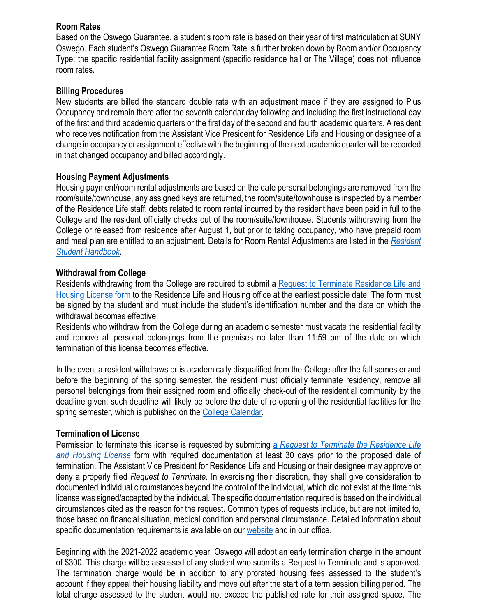#### **Room Rates**

Based on the Oswego Guarantee, a student's room rate is based on their year of first matriculation at SUNY Oswego. Each student's Oswego Guarantee Room Rate is further broken down by Room and/or Occupancy Type; the specific residential facility assignment (specific residence hall or The Village) does not influence room rates.

#### **Billing Procedures**

New students are billed the standard double rate with an adjustment made if they are assigned to Plus Occupancy and remain there after the seventh calendar day following and including the first instructional day of the first and third academic quarters or the first day of the second and fourth academic quarters. A resident who receives notification from the Assistant Vice President for Residence Life and Housing or designee of a change in occupancy or assignment effective with the beginning of the next academic quarter will be recorded in that changed occupancy and billed accordingly.

#### **Housing Payment Adjustments**

Housing payment/room rental adjustments are based on the date personal belongings are removed from the room/suite/townhouse, any assigned keys are returned, the room/suite/townhouse is inspected by a member of the Residence Life staff, debts related to room rental incurred by the resident have been paid in full to the College and the resident officially checks out of the room/suite/townhouse. Students withdrawing from the College or released from residence after August 1, but prior to taking occupancy, who have prepaid room and meal plan are entitled to an adjustment. Details for Room Rental Adjustments are listed in the *[Resident](https://www.oswego.edu/residence-life-and-housing/resident-student-handbook) Student [Handbook](https://www.oswego.edu/residence-life-and-housing/resident-student-handbook)*.

#### **Withdrawal from College**

Residents withdrawing from the College are required to submit a [Request to Terminate Residence Life and](https://www.oswego.edu/residence-life-and-housing/forms) [Housing License form](https://www.oswego.edu/residence-life-and-housing/forms) to the Residence Life and Housing office at the earliest possible date. The form must be signed by the student and must include the student's identification number and the date on which the withdrawal becomes effective.

Residents who withdraw from the College during an academic semester must vacate the residential facility and remove all personal belongings from the premises no later than 11:59 pm of the date on which termination of this license becomes effective.

In the event a resident withdraws or is academically disqualified from the College after the fall semester and before the beginning of the spring semester, the resident must officially terminate residency, remove all personal belongings from their assigned room and officially check-out of the residential community by the deadline given; such deadline will likely be before the date of re-opening of the residential facilities for the spring semester, which is published on the [College Calendar](https://www.oswego.edu/registrar/college-calendar)*.*

#### **Termination of License**

Permission to terminate this license is requested by submitting a *[Request to Terminate the Residence Life](https://www.oswego.edu/residence-life-and-housing/forms) [and Housing License](https://www.oswego.edu/residence-life-and-housing/forms)* form with required documentation at least 30 days prior to the proposed date of termination. The Assistant Vice President for Residence Life and Housing or their designee may approve or deny a properly filed *Request to Terminate*. In exercising their discretion, they shall give consideration to documented individual circumstances beyond the control of the individual, which did not exist at the time this license was signed/accepted by the individual. The specific documentation required is based on the individual circumstances cited as the reason for the request. Common types of requests include, but are not limited to, those based on financial situation, medical condition and personal circumstance. Detailed information about specific documentation requirements is available on our [website](http://www.oswego.edu/reslife) and in our office.

Beginning with the 2021-2022 academic year, Oswego will adopt an early termination charge in the amount of \$300. This charge will be assessed of any student who submits a Request to Terminate and is approved. The termination charge would be in addition to any prorated housing fees assessed to the student's account if they appeal their housing liability and move out after the start of a term session billing period. The total charge assessed to the student would not exceed the published rate for their assigned space. The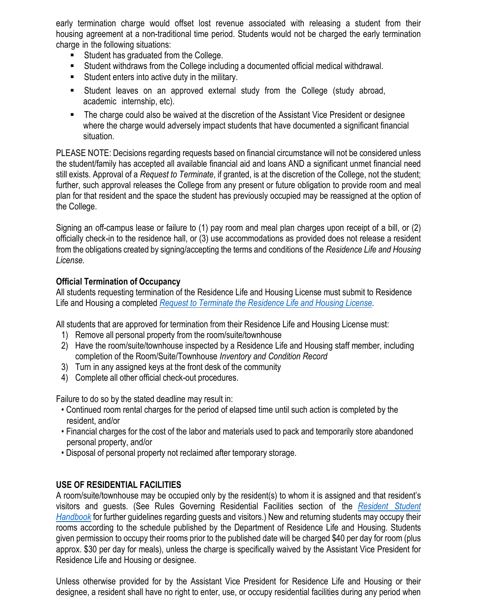early termination charge would offset lost revenue associated with releasing a student from their housing agreement at a non-traditional time period. Students would not be charged the early termination charge in the following situations:

- **Student has graduated from the College.**
- Student withdraws from the College including a documented official medical withdrawal.
- **Student enters into active duty in the military.**
- Student leaves on an approved external study from the College (study abroad, academic internship, etc).
- **The charge could also be waived at the discretion of the Assistant Vice President or designee** where the charge would adversely impact students that have documented a significant financial situation.

PLEASE NOTE: Decisions regarding requests based on financial circumstance will not be considered unless the student/family has accepted all available financial aid and loans AND a significant unmet financial need still exists. Approval of a *Request to Terminate*, if granted, is at the discretion of the College, not the student; further, such approval releases the College from any present or future obligation to provide room and meal plan for that resident and the space the student has previously occupied may be reassigned at the option of the College.

Signing an off-campus lease or failure to (1) pay room and meal plan charges upon receipt of a bill, or (2) officially check-in to the residence hall, or (3) use accommodations as provided does not release a resident from the obligations created by signing/accepting the terms and conditions of the *Residence Life and Housing License.*

### **Official Termination of Occupancy**

All students requesting termination of the Residence Life and Housing License must submit to Residence Life and Housing a completed *Request to Terminate the Residence Life and [Housing License.](https://www.oswego.edu/residence-life-and-housing/forms)* 

All students that are approved for termination from their Residence Life and Housing License must:

- 1) Remove all personal property from the room/suite/townhouse
- 2) Have the room/suite/townhouse inspected by a Residence Life and Housing staff member, including completion of the Room/Suite/Townhouse *Inventory and Condition Record*
- 3) Turn in any assigned keys at the front desk of the community
- 4) Complete all other official check-out procedures.

Failure to do so by the stated deadline may result in:

- Continued room rental charges for the period of elapsed time until such action is completed by the resident, and/or
- Financial charges for the cost of the labor and materials used to pack and temporarily store abandoned personal property, and/or
- Disposal of personal property not reclaimed after temporary storage.

### **USE OF RESIDENTIAL FACILITIES**

A room/suite/townhouse may be occupied only by the resident(s) to whom it is assigned and that resident's visitors and guests. (See Rules Governing Residential Facilities section of the *[Resident](https://www.oswego.edu/residence-life-and-housing/resident-student-handbook) Student [Handbook](https://www.oswego.edu/residence-life-and-housing/resident-student-handbook)* for further guidelines regarding guests and visitors.) New and returning students may occupy their rooms according to the schedule published by the Department of Residence Life and Housing. Students given permission to occupy their rooms prior to the published date will be charged \$40 per day for room (plus approx. \$30 per day for meals), unless the charge is specifically waived by the Assistant Vice President for Residence Life and Housing or designee.

Unless otherwise provided for by the Assistant Vice President for Residence Life and Housing or their designee, a resident shall have no right to enter, use, or occupy residential facilities during any period when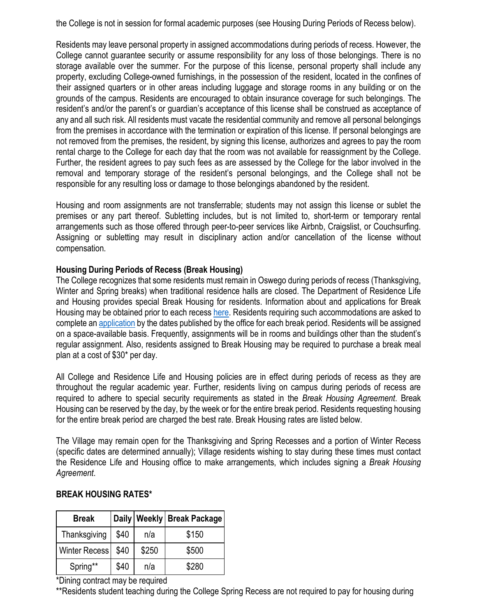the College is not in session for formal academic purposes (see Housing During Periods of Recess below).

Residents may leave personal property in assigned accommodations during periods of recess. However, the College cannot guarantee security or assume responsibility for any loss of those belongings. There is no storage available over the summer. For the purpose of this license, personal property shall include any property, excluding College-owned furnishings, in the possession of the resident, located in the confines of their assigned quarters or in other areas including luggage and storage rooms in any building or on the grounds of the campus. Residents are encouraged to obtain insurance coverage for such belongings. The resident's and/or the parent's or guardian's acceptance of this license shall be construed as acceptance of any and all such risk. All residents must vacate the residential community and remove all personal belongings from the premises in accordance with the termination or expiration of this license. If personal belongings are not removed from the premises, the resident, by signing this license, authorizes and agrees to pay the room rental charge to the College for each day that the room was not available for reassignment by the College. Further, the resident agrees to pay such fees as are assessed by the College for the labor involved in the removal and temporary storage of the resident's personal belongings, and the College shall not be responsible for any resulting loss or damage to those belongings abandoned by the resident.

Housing and room assignments are not transferrable; students may not assign this license or sublet the premises or any part thereof. Subletting includes, but is not limited to, short-term or temporary rental arrangements such as those offered through peer-to-peer services like Airbnb, Craigslist, or Couchsurfing. Assigning or subletting may result in disciplinary action and/or cancellation of the license without compensation.

### **Housing During Periods of Recess (Break Housing)**

The College recognizes that some residents must remain in Oswego during periods of recess (Thanksgiving, Winter and Spring breaks) when traditional residence halls are closed. The Department of Residence Life and Housing provides special Break Housing for residents. Information about and applications for Break Housing may be obtained prior to each recess [here.](http://www.oswego.edu/reslife) Residents requiring such accommodations are asked to complete an application by the dates published by the office for each break period. Residents will be assigned on a space-available basis. Frequently, assignments will be in rooms and buildings other than the student's regular assignment. Also, residents assigned to Break Housing may be required to purchase a break meal plan at a cost of \$30\* per day.

All College and Residence Life and Housing policies are in effect during periods of recess as they are throughout the regular academic year. Further, residents living on campus during periods of recess are required to adhere to special security requirements as stated in the *Break Housing Agreement*. Break Housing can be reserved by the day, by the week or for the entire break period. Residents requesting housing for the entire break period are charged the best rate. Break Housing rates are listed below.

The Village may remain open for the Thanksgiving and Spring Recesses and a portion of Winter Recess (specific dates are determined annually); Village residents wishing to stay during these times must contact the Residence Life and Housing office to make arrangements, which includes signing a *Break Housing Agreement*.

| <b>Break</b>         |      |       | Daily   Weekly   Break Package |  |  |
|----------------------|------|-------|--------------------------------|--|--|
| Thanksgiving         | \$40 | n/a   | \$150                          |  |  |
| <b>Winter Recess</b> | \$40 | \$250 | \$500                          |  |  |
| Spring**             | \$40 | n/a   | \$280                          |  |  |

## **BREAK HOUSING RATES\***

\*Dining contract may be required

\*\*Residents student teaching during the College Spring Recess are not required to pay for housing during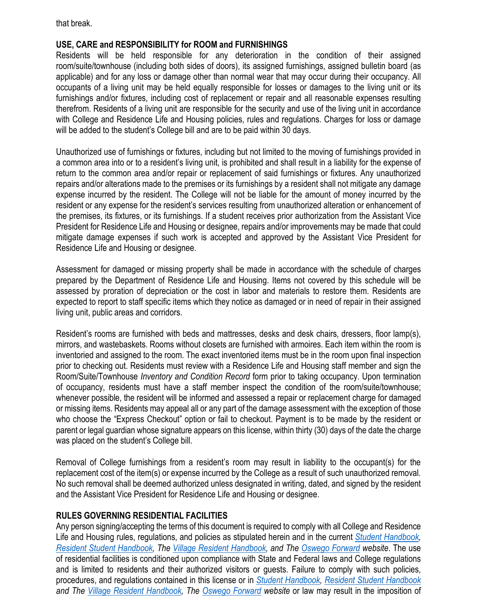that break.

### **USE, CARE and RESPONSIBILITY for ROOM and FURNISHINGS**

Residents will be held responsible for any deterioration in the condition of their assigned room/suite/townhouse (including both sides of doors), its assigned furnishings, assigned bulletin board (as applicable) and for any loss or damage other than normal wear that may occur during their occupancy. All occupants of a living unit may be held equally responsible for losses or damages to the living unit or its furnishings and/or fixtures, including cost of replacement or repair and all reasonable expenses resulting therefrom. Residents of a living unit are responsible for the security and use of the living unit in accordance with College and Residence Life and Housing policies, rules and regulations. Charges for loss or damage will be added to the student's College bill and are to be paid within 30 days.

Unauthorized use of furnishings or fixtures, including but not limited to the moving of furnishings provided in a common area into or to a resident's living unit, is prohibited and shall result in a liability for the expense of return to the common area and/or repair or replacement of said furnishings or fixtures. Any unauthorized repairs and/or alterations made to the premises or its furnishings by a resident shall not mitigate any damage expense incurred by the resident. The College will not be liable for the amount of money incurred by the resident or any expense for the resident's services resulting from unauthorized alteration or enhancement of the premises, its fixtures, or its furnishings. If a student receives prior authorization from the Assistant Vice President for Residence Life and Housing or designee, repairs and/or improvements may be made that could mitigate damage expenses if such work is accepted and approved by the Assistant Vice President for Residence Life and Housing or designee.

Assessment for damaged or missing property shall be made in accordance with the schedule of charges prepared by the Department of Residence Life and Housing. Items not covered by this schedule will be assessed by proration of depreciation or the cost in labor and materials to restore them. Residents are expected to report to staff specific items which they notice as damaged or in need of repair in their assigned living unit, public areas and corridors.

Resident's rooms are furnished with beds and mattresses, desks and desk chairs, dressers, floor lamp(s), mirrors, and wastebaskets. Rooms without closets are furnished with armoires. Each item within the room is inventoried and assigned to the room. The exact inventoried items must be in the room upon final inspection prior to checking out. Residents must review with a Residence Life and Housing staff member and sign the Room/Suite/Townhouse *Inventory and Condition Record* form prior to taking occupancy. Upon termination of occupancy, residents must have a staff member inspect the condition of the room/suite/townhouse; whenever possible, the resident will be informed and assessed a repair or replacement charge for damaged or missing items. Residents may appeal all or any part of the damage assessment with the exception of those who choose the "Express Checkout" option or fail to checkout. Payment is to be made by the resident or parent or legal guardian whose signature appears on this license, within thirty (30) days of the date the charge was placed on the student's College bill.

Removal of College furnishings from a resident's room may result in liability to the occupant(s) for the replacement cost of the item(s) or expense incurred by the College as a result of such unauthorized removal. No such removal shall be deemed authorized unless designated in writing, dated, and signed by the resident and the Assistant Vice President for Residence Life and Housing or designee.

### **RULES GOVERNING RESIDENTIAL FACILITIES**

Any person signing/accepting the terms of this document is required to comply with all College and Residence Life and Housing rules, regulations, and policies as stipulated herein and in the current *[Student Handbook,](https://www.oswego.edu/student-handbook/home) [Resident Student Handbook, T](https://www.oswego.edu/residence-life-and-housing/resident-student-handbook)he [Village Resident Handbook, a](https://www.oswego.edu/residence-life-and-housing/file/village-resident-handbook)nd The [Oswego Forward](https://ww1.oswego.edu/oswego-forward/) website*. The use of residential facilities is conditioned upon compliance with State and Federal laws and College regulations and is limited to residents and their authorized visitors or guests. Failure to comply with such policies, procedures, and regulations contained in this license or in *[Student Handbook, Resident Student Handbook](https://www.oswego.edu/student-handbook/home) and The [Village Resident Handbook, T](https://www.oswego.edu/residence-life-and-housing/file/village-resident-handbook)he [Oswego Forward](https://ww1.oswego.edu/oswego-forward/) website* or law may result in the imposition of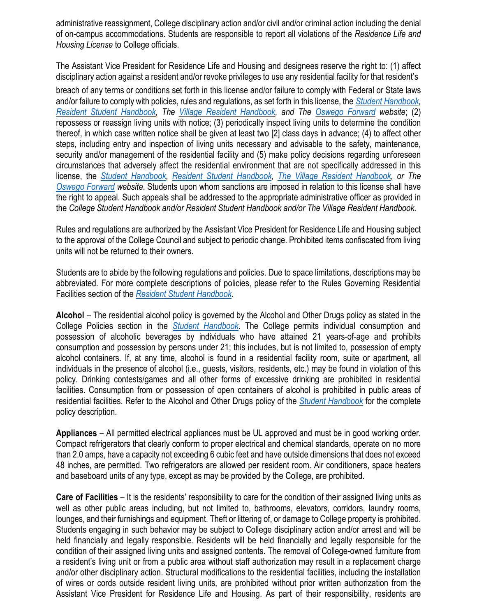administrative reassignment, College disciplinary action and/or civil and/or criminal action including the denial of on-campus accommodations. Students are responsible to report all violations of the *Residence Life and Housing License* to College officials.

The Assistant Vice President for Residence Life and Housing and designees reserve the right to: (1) affect disciplinary action against a resident and/or revoke privileges to use any residential facility for that resident's

breach of any terms or conditions set forth in this license and/or failure to comply with Federal or State laws and/or failure to comply with policies, rules and regulations, as set forth in this license, the *Student [Handbook,](https://www.oswego.edu/student-handbook/home) [Resident Student Handbook,](https://www.oswego.edu/residence-life-and-housing/resident-student-handbook) The [Village Resident Handbook,](https://www.oswego.edu/residence-life-and-housing/file/village-resident-handbook) and The [Oswego Forward](https://ww1.oswego.edu/oswego-forward/) website*; (2) repossess or reassign living units with notice; (3) periodically inspect living units to determine the condition thereof, in which case written notice shall be given at least two [2] class days in advance; (4) to affect other steps, including entry and inspection of living units necessary and advisable to the safety, maintenance, security and/or management of the residential facility and (5) make policy decisions regarding unforeseen circumstances that adversely affect the residential environment that are not specifically addressed in this license, the *[Student Handbook,](https://www.oswego.edu/student-handbook/home) [Resident Student Handbook,](https://www.oswego.edu/residence-life-and-housing/resident-student-handbook) [The Village Resident Handbook,](https://www.oswego.edu/residence-life-and-housing/file/village-resident-handbook) or The [Oswego Forward](https://ww1.oswego.edu/oswego-forward/) website*. Students upon whom sanctions are imposed in relation to this license shall have the right to appeal. Such appeals shall be addressed to the appropriate administrative officer as provided in the *College Student Handbook and/or Resident Student Handbook and/or The Village Resident Handbook.*

Rules and regulations are authorized by the Assistant Vice President for Residence Life and Housing subject to the approval of the College Council and subject to periodic change. Prohibited items confiscated from living units will not be returned to their owners.

Students are to abide by the following regulations and policies. Due to space limitations, descriptions may be abbreviated. For more complete descriptions of policies, please refer to the Rules Governing Residential Facilities section of the *Resident [Student Handbook](https://www.oswego.edu/residence-life-and-housing/resident-student-handbook)*.

**Alcohol** – The residential alcohol policy is governed by the Alcohol and Other Drugs policy as stated in the College Policies section in the *Student [Handbook](https://www.oswego.edu/student-handbook/home)*. The College permits individual consumption and possession of alcoholic beverages by individuals who have attained 21 years-of-age and prohibits consumption and possession by persons under 21; this includes, but is not limited to, possession of empty alcohol containers. If, at any time, alcohol is found in a residential facility room, suite or apartment, all individuals in the presence of alcohol (i.e., guests, visitors, residents, etc.) may be found in violation of this policy. Drinking contests/games and all other forms of excessive drinking are prohibited in residential facilities. Consumption from or possession of open containers of alcohol is prohibited in public areas of residential facilities. Refer to the Alcohol and Other Drugs policy of the *[Student Handbook](https://www.oswego.edu/student-handbook/home)* for the complete policy description.

**Appliances** – All permitted electrical appliances must be UL approved and must be in good working order. Compact refrigerators that clearly conform to proper electrical and chemical standards, operate on no more than 2.0 amps, have a capacity not exceeding 6 cubic feet and have outside dimensions that does not exceed 48 inches, are permitted. Two refrigerators are allowed per resident room. Air conditioners, space heaters and baseboard units of any type, except as may be provided by the College, are prohibited.

**Care of Facilities** – It is the residents' responsibility to care for the condition of their assigned living units as well as other public areas including, but not limited to, bathrooms, elevators, corridors, laundry rooms, lounges, and their furnishings and equipment. Theft or littering of, or damage to College property is prohibited. Students engaging in such behavior may be subject to College disciplinary action and/or arrest and will be held financially and legally responsible. Residents will be held financially and legally responsible for the condition of their assigned living units and assigned contents. The removal of College-owned furniture from a resident's living unit or from a public area without staff authorization may result in a replacement charge and/or other disciplinary action. Structural modifications to the residential facilities, including the installation of wires or cords outside resident living units, are prohibited without prior written authorization from the Assistant Vice President for Residence Life and Housing. As part of their responsibility, residents are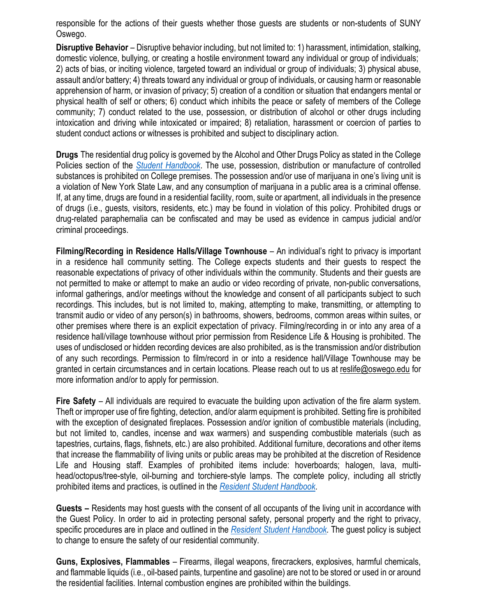responsible for the actions of their guests whether those guests are students or non-students of SUNY Oswego.

**Disruptive Behavior** – Disruptive behavior including, but not limited to: 1) harassment, intimidation, stalking, domestic violence, bullying, or creating a hostile environment toward any individual or group of individuals; 2) acts of bias, or inciting violence, targeted toward an individual or group of individuals; 3) physical abuse, assault and/or battery; 4) threats toward any individual or group of individuals, or causing harm or reasonable apprehension of harm, or invasion of privacy; 5) creation of a condition or situation that endangers mental or physical health of self or others; 6) conduct which inhibits the peace or safety of members of the College community; 7) conduct related to the use, possession, or distribution of alcohol or other drugs including intoxication and driving while intoxicated or impaired; 8) retaliation, harassment or coercion of parties to student conduct actions or witnesses is prohibited and subject to disciplinary action.

**Drugs** The residential drug policy is governed by the Alcohol and Other Drugs Policy as stated in the College Policies section of the *[Student Handbook](https://www.oswego.edu/student-handbook/home)*. The use, possession, distribution or manufacture of controlled substances is prohibited on College premises. The possession and/or use of marijuana in one's living unit is a violation of New York State Law, and any consumption of marijuana in a public area is a criminal offense. If, at any time, drugs are found in a residential facility, room, suite or apartment, all individuals in the presence of drugs (i.e., guests, visitors, residents, etc.) may be found in violation of this policy. Prohibited drugs or drug-related paraphernalia can be confiscated and may be used as evidence in campus judicial and/or criminal proceedings.

**Filming/Recording in Residence Halls/Village Townhouse** – An individual's right to privacy is important in a residence hall community setting. The College expects students and their guests to respect the reasonable expectations of privacy of other individuals within the community. Students and their guests are not permitted to make or attempt to make an audio or video recording of private, non-public conversations, informal gatherings, and/or meetings without the knowledge and consent of all participants subject to such recordings. This includes, but is not limited to, making, attempting to make, transmitting, or attempting to transmit audio or video of any person(s) in bathrooms, showers, bedrooms, common areas within suites, or other premises where there is an explicit expectation of privacy. Filming/recording in or into any area of a residence hall/village townhouse without prior permission from Residence Life & Housing is prohibited. The uses of undisclosed or hidden recording devices are also prohibited, as is the transmission and/or distribution of any such recordings. Permission to film/record in or into a residence hall/Village Townhouse may be granted in certain circumstances and in certain locations. Please reach out to us at [reslife@oswego.edu](mailto:reslife@oswego.edu) for more information and/or to apply for permission.

**Fire Safety** – All individuals are required to evacuate the building upon activation of the fire alarm system. Theft or improper use of fire fighting, detection, and/or alarm equipment is prohibited. Setting fire is prohibited with the exception of designated fireplaces. Possession and/or ignition of combustible materials (including, but not limited to, candles, incense and wax warmers) and suspending combustible materials (such as tapestries, curtains, flags, fishnets, etc.) are also prohibited. Additional furniture, decorations and other items that increase the flammability of living units or public areas may be prohibited at the discretion of Residence Life and Housing staff. Examples of prohibited items include: hoverboards; halogen, lava, multihead/octopus/tree-style, oil-burning and torchiere-style lamps. The complete policy, including all strictly prohibited items and practices, is outlined in the *Resident [Student Handbook](https://www.oswego.edu/residence-life-and-housing/resident-student-handbook)*.

**Guests –** Residents may host guests with the consent of all occupants of the living unit in accordance with the Guest Policy. In order to aid in protecting personal safety, personal property and the right to privacy, specific procedures are in place and outlined in the *[Resident Student Handbook.](https://www.oswego.edu/residence-life-and-housing/resident-student-handbook)* The guest policy is subject to change to ensure the safety of our residential community.

**Guns, Explosives, Flammables** – Firearms, illegal weapons, firecrackers, explosives, harmful chemicals, and flammable liquids (i.e., oil-based paints, turpentine and gasoline) are not to be stored or used in or around the residential facilities. Internal combustion engines are prohibited within the buildings.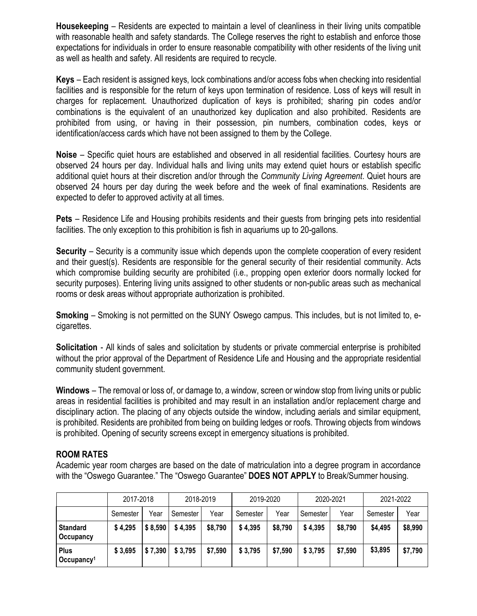**Housekeeping** – Residents are expected to maintain a level of cleanliness in their living units compatible with reasonable health and safety standards. The College reserves the right to establish and enforce those expectations for individuals in order to ensure reasonable compatibility with other residents of the living unit as well as health and safety. All residents are required to recycle.

**Keys** – Each resident is assigned keys, lock combinations and/or access fobs when checking into residential facilities and is responsible for the return of keys upon termination of residence. Loss of keys will result in charges for replacement. Unauthorized duplication of keys is prohibited; sharing pin codes and/or combinations is the equivalent of an unauthorized key duplication and also prohibited. Residents are prohibited from using, or having in their possession, pin numbers, combination codes, keys or identification/access cards which have not been assigned to them by the College.

**Noise** – Specific quiet hours are established and observed in all residential facilities. Courtesy hours are observed 24 hours per day. Individual halls and living units may extend quiet hours or establish specific additional quiet hours at their discretion and/or through the *Community Living Agreement*. Quiet hours are observed 24 hours per day during the week before and the week of final examinations. Residents are expected to defer to approved activity at all times.

**Pets** – Residence Life and Housing prohibits residents and their guests from bringing pets into residential facilities. The only exception to this prohibition is fish in aquariums up to 20-gallons.

**Security** – Security is a community issue which depends upon the complete cooperation of every resident and their guest(s). Residents are responsible for the general security of their residential community. Acts which compromise building security are prohibited (i.e., propping open exterior doors normally locked for security purposes). Entering living units assigned to other students or non-public areas such as mechanical rooms or desk areas without appropriate authorization is prohibited.

**Smoking** – Smoking is not permitted on the SUNY Oswego campus. This includes, but is not limited to, ecigarettes.

**Solicitation** - All kinds of sales and solicitation by students or private commercial enterprise is prohibited without the prior approval of the Department of Residence Life and Housing and the appropriate residential community student government.

**Windows** – The removal or loss of, or damage to, a window, screen or window stop from living units or public areas in residential facilities is prohibited and may result in an installation and/or replacement charge and disciplinary action. The placing of any objects outside the window, including aerials and similar equipment, is prohibited. Residents are prohibited from being on building ledges or roofs. Throwing objects from windows is prohibited. Opening of security screens except in emergency situations is prohibited.

### **ROOM RATES**

Academic year room charges are based on the date of matriculation into a degree program in accordance with the "Oswego Guarantee." The "Oswego Guarantee" **DOES NOT APPLY** to Break/Summer housing.

|                                       | 2017-2018 |         | 2018-2019 |         | 2019-2020 |         | 2020-2021 |         | 2021-2022 |         |
|---------------------------------------|-----------|---------|-----------|---------|-----------|---------|-----------|---------|-----------|---------|
|                                       | Semester  | Year    | Semester  | Year    | Semester  | Year    | Semester  | Year    | Semester  | Year    |
| <b>Standard</b><br>Occupancy          | \$4,295   | \$8,590 | \$4,395   | \$8,790 | \$4,395   | \$8,790 | \$4,395   | \$8,790 | \$4.495   | \$8,990 |
| <b>Plus</b><br>Occupancy <sup>1</sup> | \$3,695   | \$7,390 | \$3,795   | \$7,590 | \$3,795   | \$7,590 | \$3,795   | \$7,590 | \$3,895   | \$7,790 |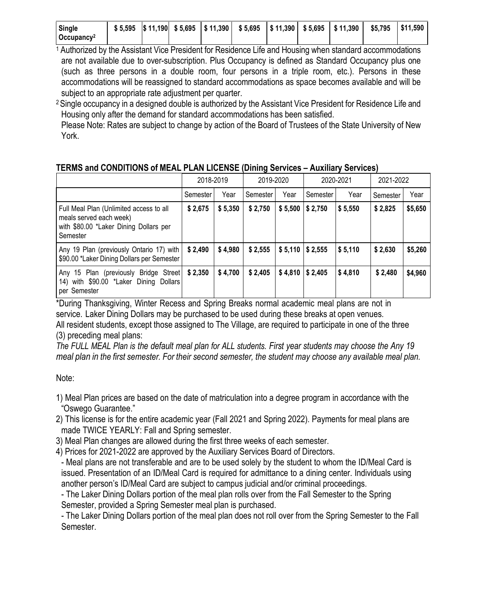| Single                 |  |  | $$5,595$  \$11,190  \$5,695  \$11,390  \$5,695  \$11,390  \$5,695  \$11,390   \$5,795 |  |  | $\frac{1}{2}$ \$11,590 |
|------------------------|--|--|---------------------------------------------------------------------------------------|--|--|------------------------|
| Occupancy <sup>2</sup> |  |  |                                                                                       |  |  |                        |

<sup>1</sup> Authorized by the Assistant Vice President for Residence Life and Housing when standard accommodations are not available due to over-subscription. Plus Occupancy is defined as Standard Occupancy plus one (such as three persons in a double room, four persons in a triple room, etc.). Persons in these accommodations will be reassigned to standard accommodations as space becomes available and will be subject to an appropriate rate adjustment per quarter.

2Single occupancy in a designed double is authorized by the Assistant Vice President for Residence Life and Housing only after the demand for standard accommodations has been satisfied.

Please Note: Rates are subject to change by action of the Board of Trustees of the State University of New York.

## **TERMS and CONDITIONS of MEAL PLAN LICENSE (Dining Services – Auxiliary Services)**

|                                                                                                                          | 2018-2019 |         | 2019-2020             |                   | 2020-2021 |         | 2021-2022 |         |
|--------------------------------------------------------------------------------------------------------------------------|-----------|---------|-----------------------|-------------------|-----------|---------|-----------|---------|
|                                                                                                                          | Semester  | Year    | Semester <sup>1</sup> | Year              | Semester! | Year    | Semester  | Year    |
| Full Meal Plan (Unlimited access to all<br>meals served each week)<br>with \$80.00 *Laker Dining Dollars per<br>Semester | \$2,675   | \$5,350 | \$2,750               | \$5,500           | \$2,750   | \$5,550 | \$2,825   | \$5,650 |
| Any 19 Plan (previously Ontario 17) with<br>\$90.00 *Laker Dining Dollars per Semester                                   | \$2,490   | \$4,980 | \$2,555               | $$5,110$ $$2,555$ |           | \$5,110 | \$2,630   | \$5,260 |
| Any 15 Plan (previously Bridge Street)<br>14) with \$90.00 *Laker Dining Dollars<br>per Semester                         | \$2,350   | \$4,700 | \$2,405               | $$4,810$ $$2,405$ |           | \$4,810 | \$2,480   | \$4,960 |

\*During Thanksgiving, Winter Recess and Spring Breaks normal academic meal plans are not in service. Laker Dining Dollars may be purchased to be used during these breaks at open venues. All resident students, except those assigned to The Village, are required to participate in one of the three (3) preceding meal plans:

The FULL MEAL Plan is the default meal plan for ALL students. First year students may choose the Any 19 meal plan in the first semester. For their second semester, the student may choose any available meal plan.

Note:

- 1) Meal Plan prices are based on the date of matriculation into a degree program in accordance with the "Oswego Guarantee."
- 2) This license is for the entire academic year (Fall 2021 and Spring 2022). Payments for meal plans are made TWICE YEARLY: Fall and Spring semester.
- 3) Meal Plan changes are allowed during the first three weeks of each semester.
- 4) Prices for 2021-2022 are approved by the Auxiliary Services Board of Directors.
- Meal plans are not transferable and are to be used solely by the student to whom the ID/Meal Card is issued. Presentation of an ID/Meal Card is required for admittance to a dining center. Individuals using another person's ID/Meal Card are subject to campus judicial and/or criminal proceedings.
- The Laker Dining Dollars portion of the meal plan rolls over from the Fall Semester to the Spring Semester, provided a Spring Semester meal plan is purchased.

- The Laker Dining Dollars portion of the meal plan does not roll over from the Spring Semester to the Fall Semester.